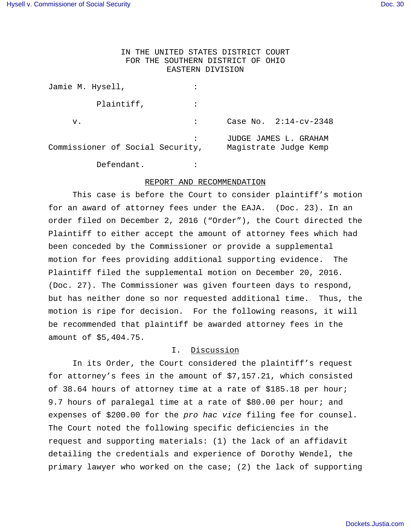# IN THE UNITED STATES DISTRICT COURT FOR THE SOUTHERN DISTRICT OF OHIO EASTERN DIVISION

| Jamie M. Hysell,                 |                                                |                         |
|----------------------------------|------------------------------------------------|-------------------------|
| Plaintiff,                       |                                                |                         |
| v.                               |                                                | Case No. $2:14-cv-2348$ |
| Commissioner of Social Security, | JUDGE JAMES L. GRAHAM<br>Magistrate Judge Kemp |                         |
| Defendant.                       |                                                |                         |

### REPORT AND RECOMMENDATION

This case is before the Court to consider plaintiff's motion for an award of attorney fees under the EAJA. (Doc. 23). In an order filed on December 2, 2016 ("Order"), the Court directed the Plaintiff to either accept the amount of attorney fees which had been conceded by the Commissioner or provide a supplemental motion for fees providing additional supporting evidence. The Plaintiff filed the supplemental motion on December 20, 2016. (Doc. 27). The Commissioner was given fourteen days to respond, but has neither done so nor requested additional time. Thus, the motion is ripe for decision. For the following reasons, it will be recommended that plaintiff be awarded attorney fees in the amount of \$5,404.75.

## I. Discussion

In its Order, the Court considered the plaintiff's request for attorney's fees in the amount of \$7,157.21, which consisted of 38.64 hours of attorney time at a rate of \$185.18 per hour; 9.7 hours of paralegal time at a rate of \$80.00 per hour; and expenses of \$200.00 for the pro hac vice filing fee for counsel. The Court noted the following specific deficiencies in the request and supporting materials: (1) the lack of an affidavit detailing the credentials and experience of Dorothy Wendel, the primary lawyer who worked on the case; (2) the lack of supporting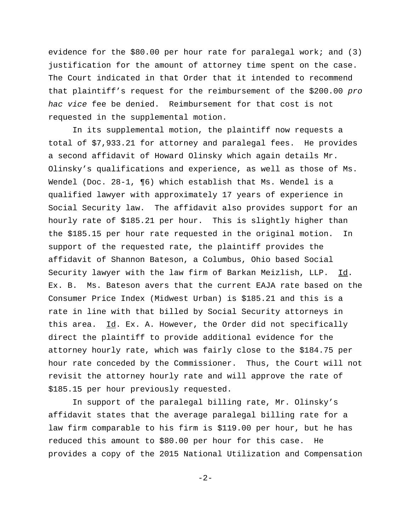evidence for the \$80.00 per hour rate for paralegal work; and (3) justification for the amount of attorney time spent on the case. The Court indicated in that Order that it intended to recommend that plaintiff's request for the reimbursement of the \$200.00 pro hac vice fee be denied. Reimbursement for that cost is not requested in the supplemental motion.

In its supplemental motion, the plaintiff now requests a total of \$7,933.21 for attorney and paralegal fees. He provides a second affidavit of Howard Olinsky which again details Mr. Olinsky's qualifications and experience, as well as those of Ms. Wendel (Doc. 28-1, ¶6) which establish that Ms. Wendel is a qualified lawyer with approximately 17 years of experience in Social Security law. The affidavit also provides support for an hourly rate of \$185.21 per hour. This is slightly higher than the \$185.15 per hour rate requested in the original motion. In support of the requested rate, the plaintiff provides the affidavit of Shannon Bateson, a Columbus, Ohio based Social Security lawyer with the law firm of Barkan Meizlish, LLP. Id. Ex. B. Ms. Bateson avers that the current EAJA rate based on the Consumer Price Index (Midwest Urban) is \$185.21 and this is a rate in line with that billed by Social Security attorneys in this area.  $\underline{Id}$ . Ex. A. However, the Order did not specifically direct the plaintiff to provide additional evidence for the attorney hourly rate, which was fairly close to the \$184.75 per hour rate conceded by the Commissioner. Thus, the Court will not revisit the attorney hourly rate and will approve the rate of \$185.15 per hour previously requested.

In support of the paralegal billing rate, Mr. Olinsky's affidavit states that the average paralegal billing rate for a law firm comparable to his firm is \$119.00 per hour, but he has reduced this amount to \$80.00 per hour for this case. He provides a copy of the 2015 National Utilization and Compensation

-2-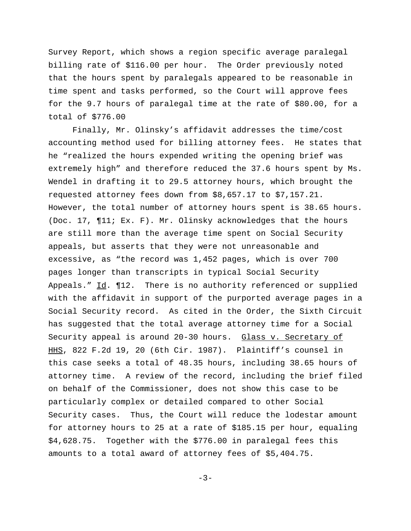Survey Report, which shows a region specific average paralegal billing rate of \$116.00 per hour. The Order previously noted that the hours spent by paralegals appeared to be reasonable in time spent and tasks performed, so the Court will approve fees for the 9.7 hours of paralegal time at the rate of \$80.00, for a total of \$776.00

Finally, Mr. Olinsky's affidavit addresses the time/cost accounting method used for billing attorney fees. He states that he "realized the hours expended writing the opening brief was extremely high" and therefore reduced the 37.6 hours spent by Ms. Wendel in drafting it to 29.5 attorney hours, which brought the requested attorney fees down from \$8,657.17 to \$7,157.21. However, the total number of attorney hours spent is 38.65 hours. (Doc. 17, ¶11; Ex. F). Mr. Olinsky acknowledges that the hours are still more than the average time spent on Social Security appeals, but asserts that they were not unreasonable and excessive, as "the record was 1,452 pages, which is over 700 pages longer than transcripts in typical Social Security Appeals." Id. ¶12. There is no authority referenced or supplied with the affidavit in support of the purported average pages in a Social Security record. As cited in the Order, the Sixth Circuit has suggested that the total average attorney time for a Social Security appeal is around 20-30 hours. Glass v. Secretary of HHS, 822 F.2d 19, 20 (6th Cir. 1987). Plaintiff's counsel in this case seeks a total of 48.35 hours, including 38.65 hours of attorney time. A review of the record, including the brief filed on behalf of the Commissioner, does not show this case to be particularly complex or detailed compared to other Social Security cases. Thus, the Court will reduce the lodestar amount for attorney hours to 25 at a rate of \$185.15 per hour, equaling \$4,628.75. Together with the \$776.00 in paralegal fees this amounts to a total award of attorney fees of \$5,404.75.

 $-3-$